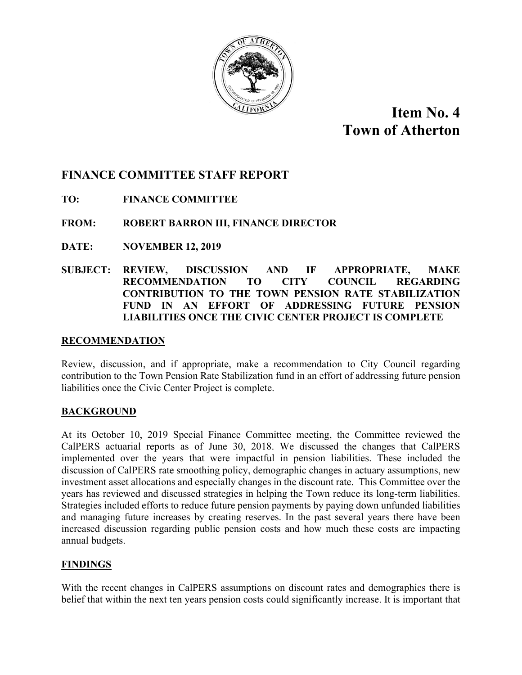

# **Item No. 4 Town of Atherton**

## **FINANCE COMMITTEE STAFF REPORT**

**TO: FINANCE COMMITTEE** 

## **FROM: ROBERT BARRON III, FINANCE DIRECTOR**

- **DATE: NOVEMBER 12, 2019**
- **SUBJECT: REVIEW, DISCUSSION AND IF APPROPRIATE, MAKE RECOMMENDATION TO CITY COUNCIL REGARDING CONTRIBUTION TO THE TOWN PENSION RATE STABILIZATION FUND IN AN EFFORT OF ADDRESSING FUTURE PENSION LIABILITIES ONCE THE CIVIC CENTER PROJECT IS COMPLETE**

### **RECOMMENDATION**

Review, discussion, and if appropriate, make a recommendation to City Council regarding contribution to the Town Pension Rate Stabilization fund in an effort of addressing future pension liabilities once the Civic Center Project is complete.

## **BACKGROUND**

At its October 10, 2019 Special Finance Committee meeting, the Committee reviewed the CalPERS actuarial reports as of June 30, 2018. We discussed the changes that CalPERS implemented over the years that were impactful in pension liabilities. These included the discussion of CalPERS rate smoothing policy, demographic changes in actuary assumptions, new investment asset allocations and especially changes in the discount rate. This Committee over the years has reviewed and discussed strategies in helping the Town reduce its long-term liabilities. Strategies included efforts to reduce future pension payments by paying down unfunded liabilities and managing future increases by creating reserves. In the past several years there have been increased discussion regarding public pension costs and how much these costs are impacting annual budgets.

#### **FINDINGS**

With the recent changes in CalPERS assumptions on discount rates and demographics there is belief that within the next ten years pension costs could significantly increase. It is important that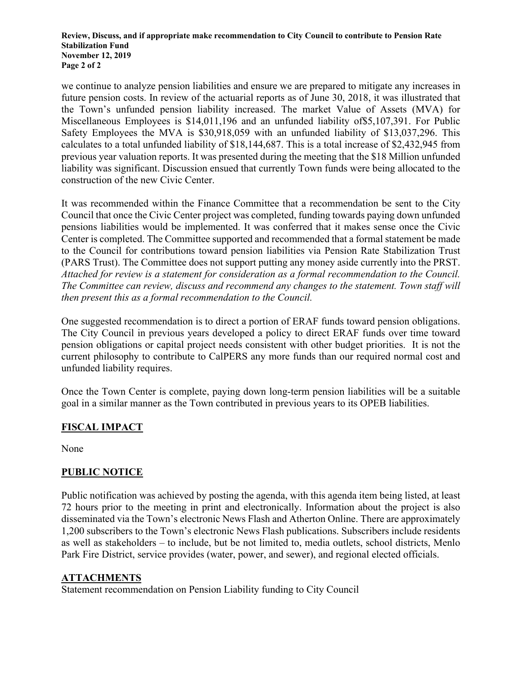#### **Review, Discuss, and if appropriate make recommendation to City Council to contribute to Pension Rate Stabilization Fund November 12, 2019 Page 2 of 2**

we continue to analyze pension liabilities and ensure we are prepared to mitigate any increases in future pension costs. In review of the actuarial reports as of June 30, 2018, it was illustrated that the Town's unfunded pension liability increased. The market Value of Assets (MVA) for Miscellaneous Employees is \$14,011,196 and an unfunded liability of\$5,107,391. For Public Safety Employees the MVA is \$30,918,059 with an unfunded liability of \$13,037,296. This calculates to a total unfunded liability of \$18,144,687. This is a total increase of \$2,432,945 from previous year valuation reports. It was presented during the meeting that the \$18 Million unfunded liability was significant. Discussion ensued that currently Town funds were being allocated to the construction of the new Civic Center.

It was recommended within the Finance Committee that a recommendation be sent to the City Council that once the Civic Center project was completed, funding towards paying down unfunded pensions liabilities would be implemented. It was conferred that it makes sense once the Civic Center is completed. The Committee supported and recommended that a formal statement be made to the Council for contributions toward pension liabilities via Pension Rate Stabilization Trust (PARS Trust). The Committee does not support putting any money aside currently into the PRST. *Attached for review is a statement for consideration as a formal recommendation to the Council. The Committee can review, discuss and recommend any changes to the statement. Town staff will then present this as a formal recommendation to the Council.*

One suggested recommendation is to direct a portion of ERAF funds toward pension obligations. The City Council in previous years developed a policy to direct ERAF funds over time toward pension obligations or capital project needs consistent with other budget priorities. It is not the current philosophy to contribute to CalPERS any more funds than our required normal cost and unfunded liability requires.

Once the Town Center is complete, paying down long-term pension liabilities will be a suitable goal in a similar manner as the Town contributed in previous years to its OPEB liabilities.

## **FISCAL IMPACT**

None

## **PUBLIC NOTICE**

Public notification was achieved by posting the agenda, with this agenda item being listed, at least 72 hours prior to the meeting in print and electronically. Information about the project is also disseminated via the Town's electronic News Flash and Atherton Online. There are approximately 1,200 subscribers to the Town's electronic News Flash publications. Subscribers include residents as well as stakeholders – to include, but be not limited to, media outlets, school districts, Menlo Park Fire District, service provides (water, power, and sewer), and regional elected officials.

## **ATTACHMENTS**

Statement recommendation on Pension Liability funding to City Council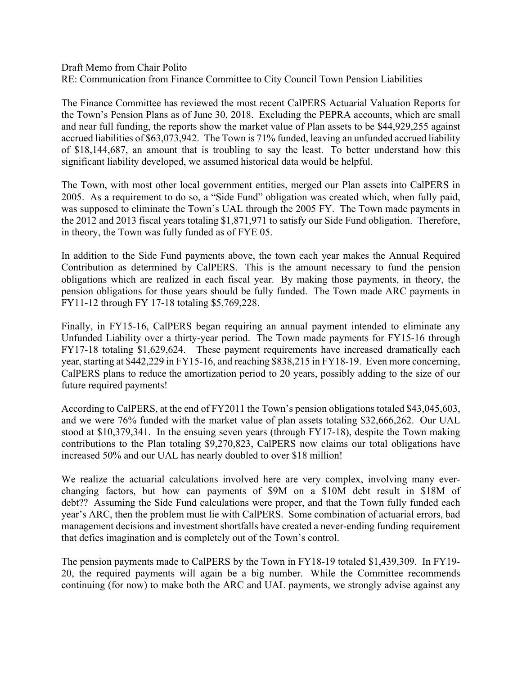Draft Memo from Chair Polito RE: Communication from Finance Committee to City Council Town Pension Liabilities

The Finance Committee has reviewed the most recent CalPERS Actuarial Valuation Reports for the Town's Pension Plans as of June 30, 2018. Excluding the PEPRA accounts, which are small and near full funding, the reports show the market value of Plan assets to be \$44,929,255 against accrued liabilities of \$63,073,942. The Town is 71% funded, leaving an unfunded accrued liability of \$18,144,687, an amount that is troubling to say the least. To better understand how this significant liability developed, we assumed historical data would be helpful.

The Town, with most other local government entities, merged our Plan assets into CalPERS in 2005. As a requirement to do so, a "Side Fund" obligation was created which, when fully paid, was supposed to eliminate the Town's UAL through the 2005 FY. The Town made payments in the 2012 and 2013 fiscal years totaling \$1,871,971 to satisfy our Side Fund obligation. Therefore, in theory, the Town was fully funded as of FYE 05.

In addition to the Side Fund payments above, the town each year makes the Annual Required Contribution as determined by CalPERS. This is the amount necessary to fund the pension obligations which are realized in each fiscal year. By making those payments, in theory, the pension obligations for those years should be fully funded. The Town made ARC payments in FY11-12 through FY 17-18 totaling \$5,769,228.

Finally, in FY15-16, CalPERS began requiring an annual payment intended to eliminate any Unfunded Liability over a thirty-year period. The Town made payments for FY15-16 through FY17-18 totaling \$1,629,624. These payment requirements have increased dramatically each year, starting at \$442,229 in FY15-16, and reaching \$838,215 in FY18-19. Even more concerning, CalPERS plans to reduce the amortization period to 20 years, possibly adding to the size of our future required payments!

According to CalPERS, at the end of FY2011 the Town's pension obligations totaled \$43,045,603, and we were 76% funded with the market value of plan assets totaling \$32,666,262. Our UAL stood at \$10,379,341. In the ensuing seven years (through FY17-18), despite the Town making contributions to the Plan totaling \$9,270,823, CalPERS now claims our total obligations have increased 50% and our UAL has nearly doubled to over \$18 million!

We realize the actuarial calculations involved here are very complex, involving many everchanging factors, but how can payments of \$9M on a \$10M debt result in \$18M of debt?? Assuming the Side Fund calculations were proper, and that the Town fully funded each year's ARC, then the problem must lie with CalPERS. Some combination of actuarial errors, bad management decisions and investment shortfalls have created a never-ending funding requirement that defies imagination and is completely out of the Town's control.

The pension payments made to CalPERS by the Town in FY18-19 totaled \$1,439,309. In FY19- 20, the required payments will again be a big number. While the Committee recommends continuing (for now) to make both the ARC and UAL payments, we strongly advise against any